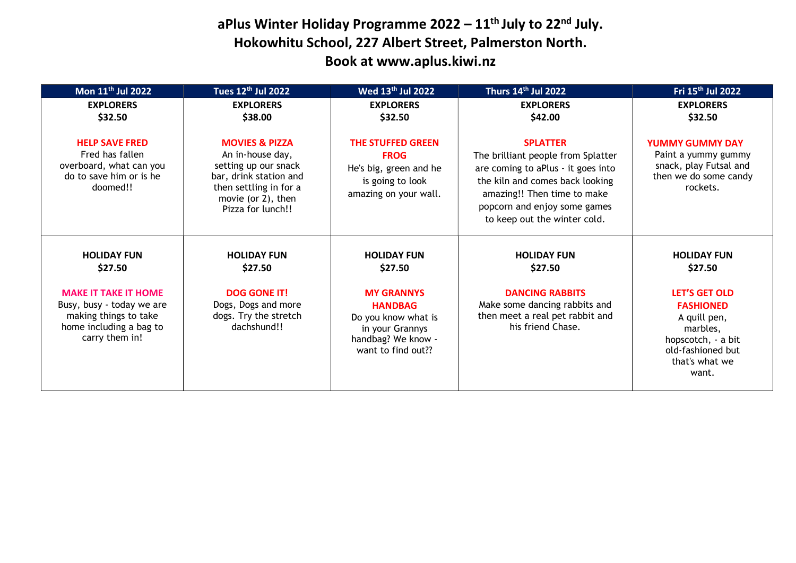## aPlus Winter Holiday Programme  $2022 - 11$ <sup>th</sup> July to  $22<sup>nd</sup>$  July. Hokowhitu School, 227 Albert Street, Palmerston North. Book at www.aplus.kiwi.nz

| Mon 11 <sup>th</sup> Jul 2022                                                                                                  | Tues 12 <sup>th</sup> Jul 2022                                                                                                                                       | Wed 13 <sup>th</sup> Jul 2022                                                                                             | Thurs 14th Jul 2022                                                                                                                                                                                                           | Fri 15 <sup>th</sup> Jul 2022                                                                                                              |
|--------------------------------------------------------------------------------------------------------------------------------|----------------------------------------------------------------------------------------------------------------------------------------------------------------------|---------------------------------------------------------------------------------------------------------------------------|-------------------------------------------------------------------------------------------------------------------------------------------------------------------------------------------------------------------------------|--------------------------------------------------------------------------------------------------------------------------------------------|
| <b>EXPLORERS</b><br>\$32.50                                                                                                    | <b>EXPLORERS</b><br>\$38.00                                                                                                                                          | <b>EXPLORERS</b><br>\$32.50                                                                                               | <b>EXPLORERS</b><br>\$42.00                                                                                                                                                                                                   | <b>EXPLORERS</b><br>\$32.50                                                                                                                |
| <b>HELP SAVE FRED</b><br>Fred has fallen<br>overboard, what can you<br>do to save him or is he<br>doomed!!                     | <b>MOVIES &amp; PIZZA</b><br>An in-house day,<br>setting up our snack<br>bar, drink station and<br>then settling in for a<br>movie (or 2), then<br>Pizza for lunch!! | <b>THE STUFFED GREEN</b><br><b>FROG</b><br>He's big, green and he<br>is going to look<br>amazing on your wall.            | <b>SPLATTER</b><br>The brilliant people from Splatter<br>are coming to aPlus - it goes into<br>the kiln and comes back looking<br>amazing!! Then time to make<br>popcorn and enjoy some games<br>to keep out the winter cold. | <b>YUMMY GUMMY DAY</b><br>Paint a yummy gummy<br>snack, play Futsal and<br>then we do some candy<br>rockets.                               |
| <b>HOLIDAY FUN</b><br>\$27.50                                                                                                  | <b>HOLIDAY FUN</b><br>\$27.50                                                                                                                                        | <b>HOLIDAY FUN</b><br>\$27.50                                                                                             | <b>HOLIDAY FUN</b><br>\$27.50                                                                                                                                                                                                 | <b>HOLIDAY FUN</b><br>\$27.50                                                                                                              |
| <b>MAKE IT TAKE IT HOME</b><br>Busy, busy - today we are<br>making things to take<br>home including a bag to<br>carry them in! | <b>DOG GONE IT!</b><br>Dogs, Dogs and more<br>dogs. Try the stretch<br>dachshund!!                                                                                   | <b>MY GRANNYS</b><br><b>HANDBAG</b><br>Do you know what is<br>in your Grannys<br>handbag? We know -<br>want to find out?? | <b>DANCING RABBITS</b><br>Make some dancing rabbits and<br>then meet a real pet rabbit and<br>his friend Chase.                                                                                                               | <b>LET'S GET OLD</b><br><b>FASHIONED</b><br>A quill pen,<br>marbles,<br>hopscotch, - a bit<br>old-fashioned but<br>that's what we<br>want. |